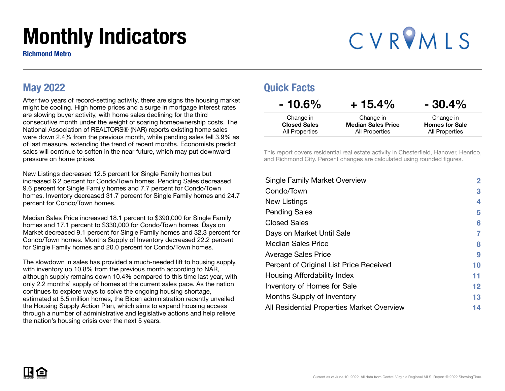# Monthly Indicators

Richmond Metro

# CVRVMLS

### May 2022

After two years of record-setting activity, there are signs the housing market might be cooling. High home prices and a surge in mortgage interest rates are slowing buyer activity, with home sales declining for the third consecutive month under the weight of soaring homeownership costs. The National Association of REALTORS® (NAR) reports existing home sales were down 2.4% from the previous month, while pending sales fell 3.9% as of last measure, extending the trend of recent months. Economists predict sales will continue to soften in the near future, which may put downward pressure on home prices.

New Listings decreased 12.5 percent for Single Family homes but increased 6.2 percent for Condo/Town homes. Pending Sales decreased 9.6 percent for Single Family homes and 7.7 percent for Condo/Town homes. Inventory decreased 31.7 percent for Single Family homes and 24.7 percent for Condo/Town homes.

Median Sales Price increased 18.1 percent to \$390,000 for Single Family homes and 17.1 percent to \$330,000 for Condo/Town homes. Days on Market decreased 9.1 percent for Single Family homes and 32.3 percent for Condo/Town homes. Months Supply of Inventory decreased 22.2 percent for Single Family homes and 20.0 percent for Condo/Town homes.

The slowdown in sales has provided a much-needed lift to housing supply, with inventory up 10.8% from the previous month according to NAR, although supply remains down 10.4% compared to this time last year, with only 2.2 months' supply of homes at the current sales pace. As the nation continues to explore ways to solve the ongoing housing shortage, estimated at 5.5 million homes, the Biden administration recently unveiled the Housing Supply Action Plan, which aims to expand housing access through a number of administrative and legislative actions and help relieve the nation's housing crisis over the next 5 years.

### Quick Facts

| $-10.6\%$           | $+15.4\%$                 | $-30.4\%$             |
|---------------------|---------------------------|-----------------------|
| Change in           | Change in                 | Change in             |
| <b>Closed Sales</b> | <b>Median Sales Price</b> | <b>Homes for Sale</b> |
| All Properties      | All Properties            | All Properties        |

This report covers residential real estate activity in Chesterfield, Hanover, Henrico, and Richmond City. Percent changes are calculated using rounded figures.

| Condo/Town<br>3<br>New Listings<br>4<br><b>Pending Sales</b><br>5<br><b>Closed Sales</b><br>6<br>Days on Market Until Sale<br>7<br><b>Median Sales Price</b><br>8<br><b>Average Sales Price</b><br>9<br>Percent of Original List Price Received<br>10<br>Housing Affordability Index<br>11<br><b>Inventory of Homes for Sale</b><br>Months Supply of Inventory<br>13<br>All Residential Properties Market Overview<br>14 | <b>Single Family Market Overview</b> | $\mathbf{2}$    |
|--------------------------------------------------------------------------------------------------------------------------------------------------------------------------------------------------------------------------------------------------------------------------------------------------------------------------------------------------------------------------------------------------------------------------|--------------------------------------|-----------------|
|                                                                                                                                                                                                                                                                                                                                                                                                                          |                                      |                 |
|                                                                                                                                                                                                                                                                                                                                                                                                                          |                                      |                 |
|                                                                                                                                                                                                                                                                                                                                                                                                                          |                                      |                 |
|                                                                                                                                                                                                                                                                                                                                                                                                                          |                                      |                 |
|                                                                                                                                                                                                                                                                                                                                                                                                                          |                                      |                 |
|                                                                                                                                                                                                                                                                                                                                                                                                                          |                                      |                 |
|                                                                                                                                                                                                                                                                                                                                                                                                                          |                                      |                 |
|                                                                                                                                                                                                                                                                                                                                                                                                                          |                                      |                 |
|                                                                                                                                                                                                                                                                                                                                                                                                                          |                                      |                 |
|                                                                                                                                                                                                                                                                                                                                                                                                                          |                                      | 12 <sub>2</sub> |
|                                                                                                                                                                                                                                                                                                                                                                                                                          |                                      |                 |
|                                                                                                                                                                                                                                                                                                                                                                                                                          |                                      |                 |

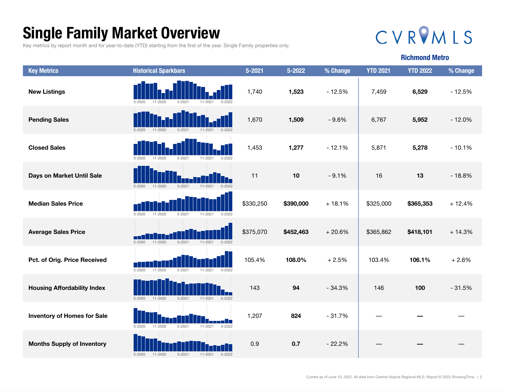### Single Family Market Overview

Key metrics by report month and for year-to-date (YTD) starting from the first of the year. Single Family properties only.

## CVRVMLS

|                                    |                                                                                 |           |           |          |                 | <b>MUNIMURIE MENA</b> |          |
|------------------------------------|---------------------------------------------------------------------------------|-----------|-----------|----------|-----------------|-----------------------|----------|
| <b>Key Metrics</b>                 | <b>Historical Sparkbars</b>                                                     | 5-2021    | 5-2022    | % Change | <b>YTD 2021</b> | <b>YTD 2022</b>       | % Change |
| <b>New Listings</b>                | $5 - 2020$<br>$11 - 2020$<br>$5 - 2021$<br>11-2021<br>5-2022                    | 1,740     | 1,523     | $-12.5%$ | 7,459           | 6,529                 | $-12.5%$ |
| <b>Pending Sales</b>               | $5 - 2020$<br>$11 - 2020$<br>$5 - 2021$<br>$11 - 2021$<br>$5 - 2022$            | 1,670     | 1,509     | $-9.6%$  | 6,767           | 5,952                 | $-12.0%$ |
| <b>Closed Sales</b>                | $5 - 2020$<br>$11 - 2020$<br>$5 - 2021$<br>$11 - 2021$<br>$5 - 2022$            | 1,453     | 1,277     | $-12.1%$ | 5,871           | 5,278                 | $-10.1%$ |
| Days on Market Until Sale          | $5 - 2021$<br>$5 - 2020$<br>$11 - 2020$<br>$11 - 2021$<br>$5 - 2022$            | 11        | 10        | $-9.1%$  | 16              | 13                    | $-18.8%$ |
| <b>Median Sales Price</b>          | $5 - 2020$<br>$11 - 2020$<br>$5 - 2021$<br>$11 - 2021$<br>$5 - 2022$            | \$330,250 | \$390,000 | $+18.1%$ | \$325,000       | \$365,353             | $+12.4%$ |
| <b>Average Sales Price</b>         | $5 - 2021$<br>$5 - 2020$<br>$11 - 2020$<br>$11 - 2021$<br>$5 - 2022$            | \$375,070 | \$452,463 | $+20.6%$ | \$365,862       | \$418,101             | $+14.3%$ |
| Pct. of Orig. Price Received       | $11 - 2020$<br>$5 - 2021$<br>$11 - 2021$<br>5-2020<br>$5 - 2022$                | 105.4%    | 108.0%    | $+2.5%$  | 103.4%          | 106.1%                | $+2.6%$  |
| <b>Housing Affordability Index</b> | $11 - 2021$<br>$5 - 2022$<br>$5 - 2020$<br>$11 - 2020$<br>$5 - 2021$            | 143       | 94        | $-34.3%$ | 146             | 100                   | $-31.5%$ |
| <b>Inventory of Homes for Sale</b> | lan mark 15<br>$5 - 2020$<br>11-2020<br>$5 - 2021$<br>$11 - 2021$<br>$5 - 2022$ | 1,207     | 824       | $-31.7%$ |                 |                       |          |
| <b>Months Supply of Inventory</b>  | $5 - 2020$<br>11-2020<br>$5 - 2021$<br>11-2021<br>5-2022                        | 0.9       | 0.7       | $-22.2%$ |                 |                       |          |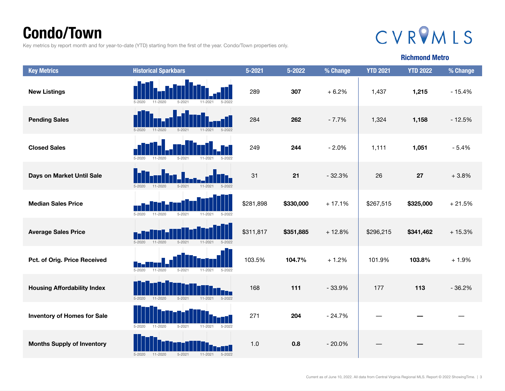### Condo/Town

Key metrics by report month and for year-to-date (YTD) starting from the first of the year. Condo/Town properties only.

# CVRVMLS

|                                    |                                                                      |            |            |          |                 | <b>Richmond Metro</b> |          |
|------------------------------------|----------------------------------------------------------------------|------------|------------|----------|-----------------|-----------------------|----------|
| <b>Key Metrics</b>                 | <b>Historical Sparkbars</b>                                          | $5 - 2021$ | $5 - 2022$ | % Change | <b>YTD 2021</b> | <b>YTD 2022</b>       | % Change |
| <b>New Listings</b>                | $5 - 2022$<br>5-2020<br>$11 - 2020$<br>$5 - 2021$<br>11-2021         | 289        | 307        | $+6.2%$  | 1,437           | 1,215                 | $-15.4%$ |
| <b>Pending Sales</b>               | $11 - 2020$<br>$5 - 2020$<br>$5 - 2021$<br>$11 - 2021$<br>$5 - 2022$ | 284        | 262        | $-7.7%$  | 1,324           | 1,158                 | $-12.5%$ |
| <b>Closed Sales</b>                | 5-2020<br>$11 - 2020$<br>$5 - 2021$<br>11-2021<br>5-2023             | 249        | 244        | $-2.0%$  | 1,111           | 1,051                 | $-5.4%$  |
| Days on Market Until Sale          | $5 - 2020$<br>$11 - 2020$<br>$5 - 2021$<br>$11 - 2021$<br>$5 - 2022$ | 31         | 21         | $-32.3%$ | 26              | 27                    | $+3.8%$  |
| <b>Median Sales Price</b>          | $11 - 2021$<br>$5 - 2020$<br>$11 - 2020$<br>$5 - 2021$<br>5-2022     | \$281,898  | \$330,000  | $+17.1%$ | \$267,515       | \$325,000             | $+21.5%$ |
| <b>Average Sales Price</b>         | $5 - 2021$<br>$5 - 2020$<br>$11 - 2020$<br>$11 - 2021$<br>$5 - 2022$ | \$311,817  | \$351,885  | $+12.8%$ | \$296,215       | \$341,462             | $+15.3%$ |
| Pct. of Orig. Price Received       | $11 - 2020$<br>$5 - 2021$<br>5-2020<br>11-2021<br>$5 - 2022$         | 103.5%     | 104.7%     | $+1.2%$  | 101.9%          | 103.8%                | $+1.9%$  |
| <b>Housing Affordability Index</b> | 11-2020<br>$5 - 2022$<br>$5 - 2020$<br>$5 - 2021$<br>$11 - 2021$     | 168        | 111        | $-33.9%$ | 177             | 113                   | $-36.2%$ |
| <b>Inventory of Homes for Sale</b> | $5 - 2020$<br>11-2020<br>$5 - 2021$<br>$11 - 2021$<br>$5 - 2022$     | 271        | 204        | $-24.7%$ |                 |                       |          |
| <b>Months Supply of Inventory</b>  | $5 - 2020$<br>$11 - 2020$<br>$5 - 2021$<br>$11 - 2021$<br>$5 - 2022$ | 1.0        | 0.8        | $-20.0%$ |                 |                       |          |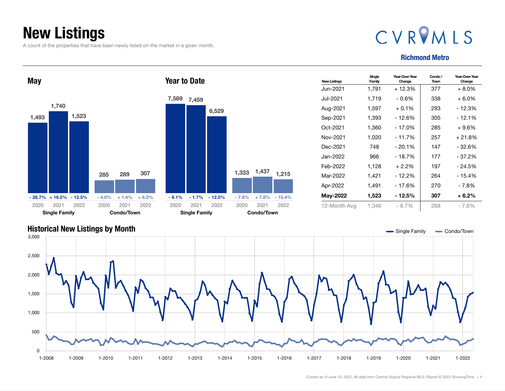## New Listings

A count of the properties that have been newly listed on the market in a given month.

## CVRPMLS

#### Richmond Metro



| 7,589   | 7,459                |          |         |            |          |
|---------|----------------------|----------|---------|------------|----------|
|         |                      | 6,529    |         |            |          |
|         |                      |          |         |            |          |
|         |                      |          |         |            |          |
|         |                      |          |         |            |          |
|         |                      |          |         |            |          |
|         |                      |          |         |            |          |
|         |                      |          | 1,333   | 1,437      | 1,215    |
|         |                      |          |         |            |          |
|         |                      |          |         |            |          |
| $-9.1%$ | $-1.7%$              | $-12.5%$ | $-7.9%$ | $+7.8%$    | $-15.4%$ |
| 2020    | 2021                 | 2022     | 2020    | 2021       | 2022     |
|         | <b>Single Family</b> |          |         | Condo/Town |          |

| <b>New Listings</b> | Single<br>Family | Year-Over-Year<br>Change | Condo /<br>Town | Year-Over-Year<br>Change |
|---------------------|------------------|--------------------------|-----------------|--------------------------|
| Jun-2021            | 1,791            | + 12.3%                  | 377             | + 8.0%                   |
| Jul-2021            | 1,719            | - 0.6%                   | 338             | + 6.0%                   |
| Aug-2021            | 1,597            | $+0.1\%$                 | 293             | - 12.3%                  |
| Sep-2021            | 1,393            | - 12.6%                  | 305             | - 12.1%                  |
| Oct-2021            | 1,360            | $-17.0%$                 | 285             | $+9.6%$                  |
| Nov-2021            | 1,020            | $-11.7%$                 | 257             | $+21.8%$                 |
| Dec-2021            | 748              | $-20.1%$                 | 147             | - 32.6%                  |
| Jan-2022            | 966              | $-18.7%$                 | 177             | - 37.2%                  |
| Feb-2022            | 1,128            | $+2.2%$                  | 197             | - 24.5%                  |
| Mar-2022            | 1,421            | - 12.2%                  | 264             | - 15.4%                  |
| Apr-2022            | 1,491            | - 17.6%                  | 270             | - 7.8%                   |
| May-2022            | 1,523            | - 12.5%                  | 307             | $+6.2%$                  |
| 12-Month Avg        | 1,346            | - 8.7%                   | 268             | - 7.6%                   |

### Historical New Listings by Month **Single Text** Condo/Town **Single Family Accordo/Town** 1-2008 1-2009 1-2010 1-2011 1-2012 1-2013 1-2014 1-2015 1-2016 1-2017 1-2018 1-2019 1-2020 1-2021 1-2022 0 500 1,000 1,500 2,000 2,500 3,000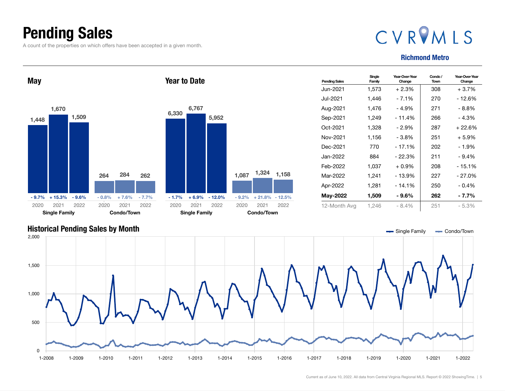### Pending Sales

 $\Omega$ 

A count of the properties on which offers have been accepted in a given month.

## CVRPMLS

#### Richmond Metro



1-2008 1-2009 1-2010 1-2011 1-2012 1-2013 1-2014 1-2015 1-2016 1-2017 1-2018 1-2019 1-2020 1-2021 1-2022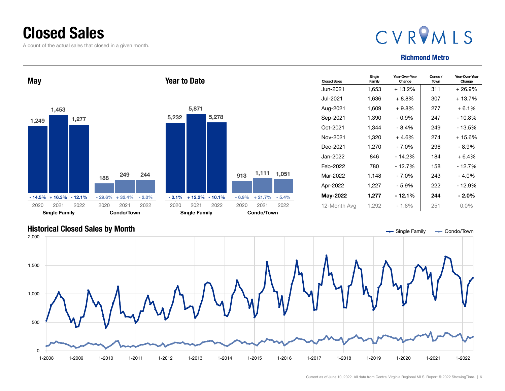### Closed Sales

A count of the actual sales that closed in a given month.

## CVRPMLS

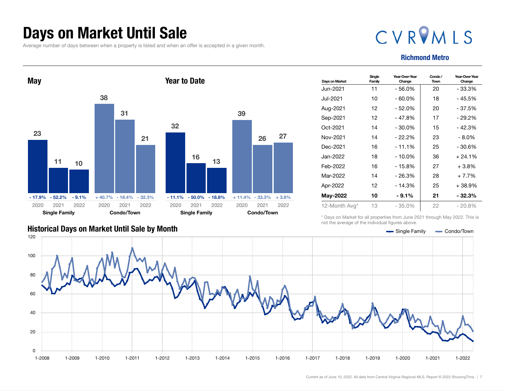### Days on Market Until Sale

Average number of days between when a property is listed and when an offer is accepted in a given month.

## CVRPMLS

#### Richmond Metro



| Days on Market | Single<br>Family | Year-Over-Year<br>Change | Condo /<br>Town | Year-Over-Year<br>Change |
|----------------|------------------|--------------------------|-----------------|--------------------------|
| Jun-2021.      | 11               | - 56.0%                  | 20              | - 33.3%                  |
| Jul-2021       | 10               | $-60.0\%$                | 18              | $-45.5%$                 |
| Aug-2021       | 12               | $-52.0%$                 | 20              | $-37.5%$                 |
| Sep-2021       | 12               | - 47.8%                  | 17              | $-29.2%$                 |
| Oct-2021       | 14               | $-30.0\%$                | 15              | $-42.3%$                 |
| Nov-2021       | 14               | $-22.2%$                 | 23              | - 8.0%                   |
| Dec-2021       | 16               | $-11.1%$                 | 25              | $-30.6%$                 |
| Jan-2022       | 18               | $-10.0\%$                | 36              | $+24.1%$                 |
| Feb-2022       | 16               | $-15.8%$                 | 27              | $+3.8\%$                 |
| Mar-2022       | 14               | $-26.3%$                 | 28              | $+7.7%$                  |
| Apr-2022       | 12               | $-14.3%$                 | 25              | +38.9%                   |
| May-2022       | 10               | $-9.1\%$                 | 21              | $-32.3%$                 |
| 12-Month Avg*  | 13               | $-35.0%$                 | 22              | $-20.8\%$                |

\* Days on Market for all properties from June 2021 through May 2022. This is not the average of the individual figures above.

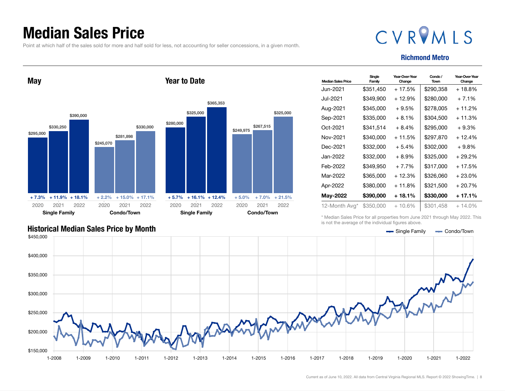### Median Sales Price

Point at which half of the sales sold for more and half sold for less, not accounting for seller concessions, in a given month.

## CVRPMLS

#### Richmond Metro



| <b>Median Sales Price</b> | Single<br>Family | Year-Over-Year<br>Change | Condo /<br>Town | Year-Over-Year<br>Change |
|---------------------------|------------------|--------------------------|-----------------|--------------------------|
| Jun-2021                  | \$351,450        | + 17.5%                  | \$290,358       | + 18.8%                  |
| Jul-2021.                 | \$349,900        | + 12.9%                  | \$280,000       | + 7.1%                   |
| Aug-2021                  | \$345,000        | $+9.5%$                  | \$278,005       | + 11.2%                  |
| Sep-2021                  | \$335,000        | $+8.1%$                  | \$304.500       | $+11.3%$                 |
| Oct-2021                  | \$341,514        | $+8.4%$                  | \$295,000       | + 9.3%                   |
| Nov-2021                  | \$340,000        | $+11.5%$                 | \$297,870       | + 12.4%                  |
| Dec-2021                  | \$332,000        | $+5.4%$                  | \$302.000       | + 9.8%                   |
| Jan-2022                  | \$332,000        | $+8.9%$                  | \$325,000       | + 29.2%                  |
| Feb-2022                  | \$349.950        | $+7.7%$                  | \$317,000       | + 17.5%                  |
| Mar-2022                  | \$365,000        | $+12.3%$                 | \$326,060       | $+23.0\%$                |
| Apr-2022                  | \$380,000        | $+11.8%$                 | \$321,500       | + 20.7%                  |
| <b>May-2022</b>           | \$390,000        | + 18.1%                  | \$330,000       | + 17.1%                  |
| 12-Month Avg*             | \$350,000        | $+10.6\%$                | \$301,458       | $+14.0\%$                |

\* Median Sales Price for all properties from June 2021 through May 2022. This is not the average of the individual figures above.



\$325,000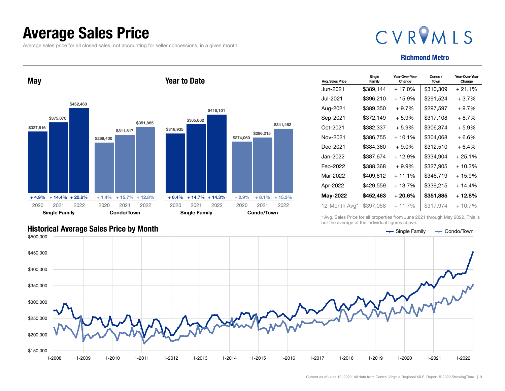### Average Sales Price

Average sales price for all closed sales, not accounting for seller concessions, in a given month.

## CVRPMLS

#### Richmond Metro

May \$327,816 \$375,070 \$452,463 + 4.9% + 14.4% + 20.6% \$269,400 \$311,817 \$351,885  $+1.4\% + 15.7\%$ 2020 Single Family 2021 2022 2020 Condo/Tow 2021 Year to Date \$318,935 \$365,862 \$418,101 + 6.4% + 14.7% + 14.3% 2020 Single Family

| ٧n        |           | <b>Single Family</b> |                    |           | Condo/Town |           |  |
|-----------|-----------|----------------------|--------------------|-----------|------------|-----------|--|
| 2022      | 2020      | 2021                 | 2022               | 2020      | 2021       | 2022      |  |
| $+12.8%$  | $+6.4%$   |                      | $+14.7\% + 14.3\%$ | $+2.9%$   | $+8.1%$    | $+15.3%$  |  |
| \$351,885 | \$318,935 | \$365,862            | \$418,101          | \$274,060 | \$296,215  | \$341,462 |  |

| Avg. Sales Price | Single<br>Family | Year-Over-Year<br>Change | Condo /<br>Town | Year-Over-Year<br>Change |
|------------------|------------------|--------------------------|-----------------|--------------------------|
| Jun-2021         | \$389,144        | $+17.0%$                 | \$310,309       | + 21.1%                  |
| Jul-2021         | \$396,210        | + 15.9%                  | \$291,524       | + 3.7%                   |
| Aug-2021         | \$389.350        | $+9.7%$                  | \$297,597       | + 9.7%                   |
| Sep-2021         | \$372.149        | $+5.9%$                  | \$317,108       | + 8.7%                   |
| Oct-2021         | \$382,337        | $+5.9%$                  | \$306,374       | + 5.9%                   |
| Nov-2021         | \$386,755        | $+10.1%$                 | \$304,068       | + 6.6%                   |
| Dec-2021         | \$384,360        | $+9.0%$                  | \$312,510       | $+6.4%$                  |
| Jan-2022.        | \$387,674        | $+12.9%$                 | \$334.904       | $+25.1%$                 |
| Feb-2022         | \$388,368        | $+9.9%$                  | \$327,905       | $+10.3%$                 |
| Mar-2022         | \$409,812        | $+11.1%$                 | \$346,719       | + 15.9%                  |
| Apr-2022         | \$429,559        | + 13.7%                  | \$339,215       | $+14.4%$                 |
| May-2022         | \$452,463        | + 20.6%                  | \$351,885       | $+12.8%$                 |
| 12-Month Avg*    | \$397,058        | $+11.7%$                 | \$317,974       | $+10.7%$                 |

\* Avg. Sales Price for all properties from June 2021 through May 2022. This is not the average of the individual figures above.

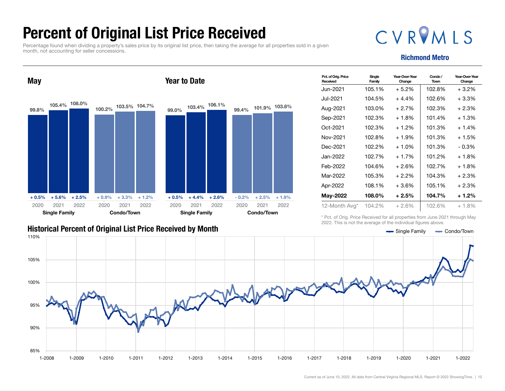### Percent of Original List Price Received

Percentage found when dividing a property's sales price by its original list price, then taking the average for all properties sold in a given month, not accounting for seller concessions.

# CVRPMLS

#### Richmond Metro



| <b>Historical Percent of Original List Price Received by Month</b> |  | Single Family - Condo/Town |
|--------------------------------------------------------------------|--|----------------------------|
|                                                                    |  |                            |

| Pct. of Orig. Price<br>Received | Single<br>Family | Year-Over-Year<br>Change | Condo /<br>Town | Year-Over-Year<br>Change |
|---------------------------------|------------------|--------------------------|-----------------|--------------------------|
| Jun-2021.                       | 105.1%           | $+5.2\%$                 | 102.8%          | $+3.2\%$                 |
| Jul-2021.                       | 104.5%           | $+4.4%$                  | 102.6%          | $+3.3\%$                 |
| Aug-2021                        | 103.0%           | $+2.7%$                  | 102.3%          | $+2.3%$                  |
| Sep-2021                        | 102.3%           | $+1.8\%$                 | 101.4%          | $+1.3%$                  |
| Oct-2021                        | 102.3%           | $+1.2\%$                 | 101.3%          | $+1.4%$                  |
| Nov-2021                        | 102.8%           | $+1.9%$                  | 101.3%          | $+1.5%$                  |
| Dec-2021                        | 102.2%           | $+1.0%$                  | 101.3%          | $-0.3%$                  |
| Jan-2022.                       | 102.7%           | $+1.7%$                  | 101.2%          | $+1.8%$                  |
| Feb-2022                        | 104.6%           | $+2.6%$                  | 102.7%          | $+1.8%$                  |
| Mar-2022                        | 105.3%           | $+2.2\%$                 | 104.3%          | $+2.3%$                  |
| Apr-2022                        | 108.1%           | $+3.6\%$                 | 105.1%          | $+2.3%$                  |
| May-2022                        | 108.0%           | $+2.5%$                  | 104.7%          | $+1.2%$                  |
| 12-Month Avg*                   | 104.2%           | $+2.6%$                  | 102.6%          | $+1.8%$                  |

\* Pct. of Orig. Price Received for all properties from June 2021 through May 2022. This is not the average of the individual figures above.

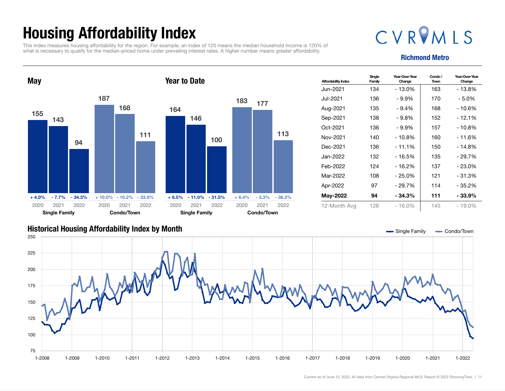## Housing Affordability Index

This index measures housing affordability for the region. For example, an index of 120 means the median household income is 120% of what is necessary to qualify for the median-priced home under prevailing interest rates. A higher number means greater affordability.

## CVRVMLS

#### Richmond Metro



| <b>Affordability Index</b> | Single<br>Family | Year-Over-Year<br>Change | Condo /<br>Town | Year-Over-Year<br>Change |  |
|----------------------------|------------------|--------------------------|-----------------|--------------------------|--|
| Jun-2021                   | 134              | - 13.0%                  | 163             | - 13.8%                  |  |
| Jul-2021                   | 136              | - 9.9%                   | 170             | - 5.0%                   |  |
| Aug-2021                   | 135              | $-9.4%$                  | 168             | - 10.6%                  |  |
| Sep-2021                   | 138              | $-9.8%$                  | 152             | - 12.1%                  |  |
| Oct-2021                   | 136              | - 9.9%                   | 157             | - 10.8%                  |  |
| Nov-2021                   | 140              | $-10.8%$                 | 160             | - 11.6%                  |  |
| Dec-2021                   | 136              | $-11.1%$                 | 150             | $-14.8%$                 |  |
| Jan-2022                   | 132              | $-16.5%$                 | 135             | $-29.7%$                 |  |
| Feb-2022                   | 124              | - 16.2%                  | 137             | $-23.0%$                 |  |
| Mar-2022                   | 108              | $-25.0%$                 | 121             | $-31.3%$                 |  |
| Apr-2022                   | 97               | $-29.7%$                 | 114             | - 35.2%                  |  |
| <b>May-2022</b>            | 94               | $-34.3%$                 | 111             | - 33.9%                  |  |
| 12-Month Avg               | 126              | $-16.0%$                 | 145             | $-19.0%$                 |  |

#### Historical Housing Affordability Index by Month  $\blacksquare$  Single Family  $\blacksquare$  Single Family  $\blacksquare$  Condo/Town



113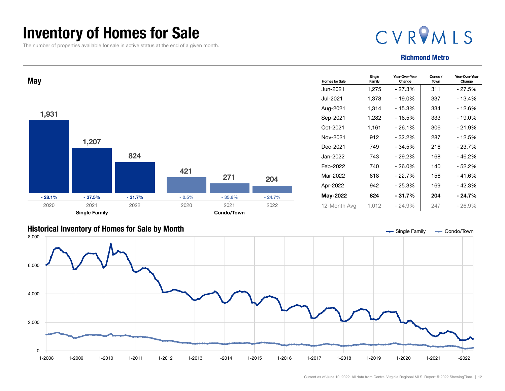### Inventory of Homes for Sale

The number of properties available for sale in active status at the end of a given month.





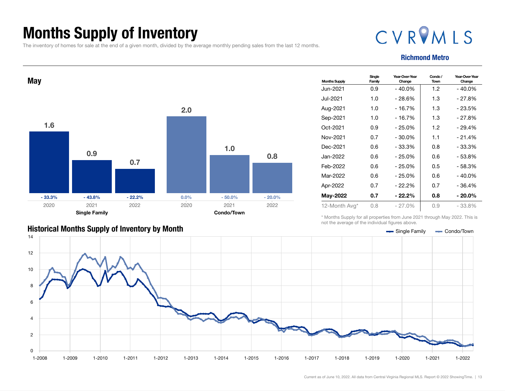## Months Supply of Inventory

The inventory of homes for sale at the end of a given month, divided by the average monthly pending sales from the last 12 months.

## CVRPMLS

#### Richmond Metro



### $\frac{1}{100}$  Historical Months Supply of Inventory by Month  $\frac{1}{100}$  Single Family  $\frac{1}{100}$  Condo/Town

| <b>Months Supply</b> | Single<br>Family | Year-Over-Year<br>Change | Condo /<br>Town | Year-Over-Year<br>Change |  |
|----------------------|------------------|--------------------------|-----------------|--------------------------|--|
| Jun-2021             | 0.9              | $-40.0\%$                | 1.2             | - 40.0%                  |  |
| Jul-2021             | 1.0              | $-28.6%$                 | 1.3             | - 27.8%                  |  |
| Aug-2021             | 1.0              | $-16.7%$                 | 1.3             | - 23.5%                  |  |
| Sep-2021             | 1.0              | - 16.7%                  | 1.3             | - 27.8%                  |  |
| Oct-2021             | 0.9              | - 25.0%                  | 1.2             | $-29.4%$                 |  |
| Nov-2021             | 0.7              | $-30.0\%$                | 1.1             | - 21.4%                  |  |
| Dec-2021             | 0.6              | $-33.3%$                 | 0.8             | - 33.3%                  |  |
| Jan-2022             | 0.6              | $-25.0%$                 | 0.6             | - 53.8%                  |  |
| Feb-2022             | 0.6              | $-25.0%$                 | 0.5             | $-58.3%$                 |  |
| Mar-2022             | 0.6              | $-25.0%$                 | 0.6             | - 40.0%                  |  |
| Apr-2022             | 0.7              | $-22.2%$                 | 0.7             | - 36.4%                  |  |
| May-2022             | 0.7              | - 22.2%                  | 0.8             | - 20.0%                  |  |
| 12-Month Avg*        | 0.8              | $-27.0%$                 | 0.9             | - 33.8%                  |  |

\* Months Supply for all properties from June 2021 through May 2022. This is not the average of the individual figures above.